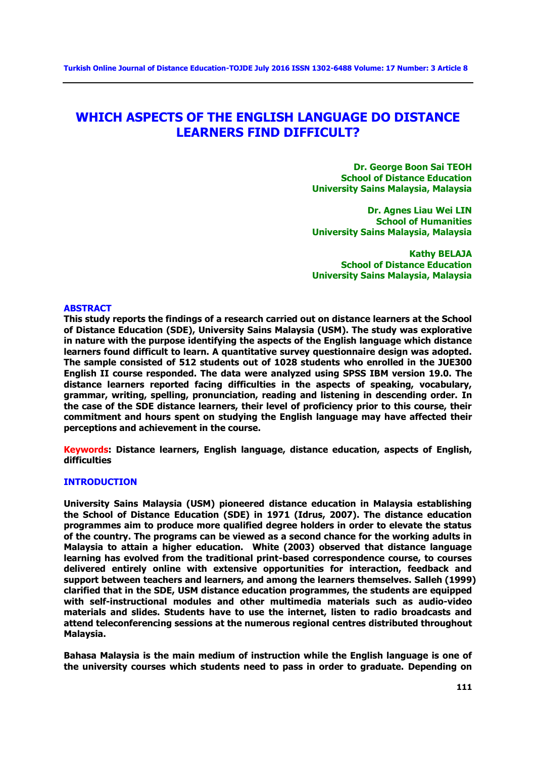# **WHICH ASPECTS OF THE ENGLISH LANGUAGE DO DISTANCE LEARNERS FIND DIFFICULT?**

**Dr. George Boon Sai TEOH School of Distance Education University Sains Malaysia, Malaysia** 

**Dr. Agnes Liau Wei LIN School of Humanities University Sains Malaysia, Malaysia** 

**Kathy BELAJA School of Distance Education University Sains Malaysia, Malaysia** 

#### **ABSTRACT**

**This study reports the findings of a research carried out on distance learners at the School of Distance Education (SDE), University Sains Malaysia (USM). The study was explorative in nature with the purpose identifying the aspects of the English language which distance learners found difficult to learn. A quantitative survey questionnaire design was adopted. The sample consisted of 512 students out of 1028 students who enrolled in the JUE300 English II course responded. The data were analyzed using SPSS IBM version 19.0. The distance learners reported facing difficulties in the aspects of speaking, vocabulary, grammar, writing, spelling, pronunciation, reading and listening in descending order. In the case of the SDE distance learners, their level of proficiency prior to this course, their commitment and hours spent on studying the English language may have affected their perceptions and achievement in the course.** 

**Keywords: Distance learners, English language, distance education, aspects of English, difficulties** 

## **INTRODUCTION**

**University Sains Malaysia (USM) pioneered distance education in Malaysia establishing the School of Distance Education (SDE) in 1971 (Idrus, 2007). The distance education programmes aim to produce more qualified degree holders in order to elevate the status of the country. The programs can be viewed as a second chance for the working adults in Malaysia to attain a higher education. White (2003) observed that distance language learning has evolved from the traditional print-based correspondence course, to courses delivered entirely online with extensive opportunities for interaction, feedback and support between teachers and learners, and among the learners themselves. Salleh (1999) clarified that in the SDE, USM distance education programmes, the students are equipped with self-instructional modules and other multimedia materials such as audio-video materials and slides. Students have to use the internet, listen to radio broadcasts and attend teleconferencing sessions at the numerous regional centres distributed throughout Malaysia.** 

**Bahasa Malaysia is the main medium of instruction while the English language is one of the university courses which students need to pass in order to graduate. Depending on**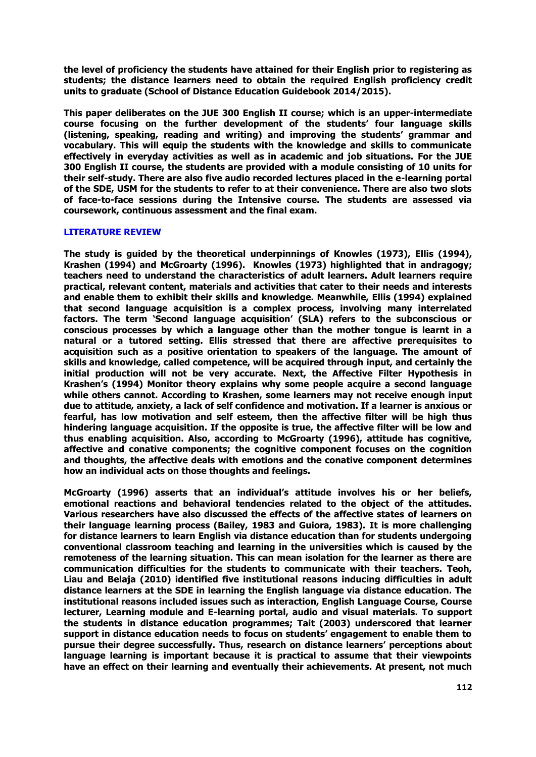**the level of proficiency the students have attained for their English prior to registering as students; the distance learners need to obtain the required English proficiency credit units to graduate (School of Distance Education Guidebook 2014/2015).**

**This paper deliberates on the JUE 300 English II course; which is an upper-intermediate course focusing on the further development of the students' four language skills (listening, speaking, reading and writing) and improving the students' grammar and vocabulary. This will equip the students with the knowledge and skills to communicate effectively in everyday activities as well as in academic and job situations. For the JUE 300 English II course, the students are provided with a module consisting of 10 units for their self-study. There are also five audio recorded lectures placed in the e-learning portal of the SDE, USM for the students to refer to at their convenience. There are also two slots of face-to-face sessions during the Intensive course. The students are assessed via coursework, continuous assessment and the final exam.**

# **LITERATURE REVIEW**

**The study is guided by the theoretical underpinnings of Knowles (1973), Ellis (1994), Krashen (1994) and McGroarty (1996). Knowles (1973) highlighted that in andragogy; teachers need to understand the characteristics of adult learners. Adult learners require practical, relevant content, materials and activities that cater to their needs and interests and enable them to exhibit their skills and knowledge. Meanwhile, Ellis (1994) explained that second language acquisition is a complex process, involving many interrelated factors. The term 'Second language acquisition' (SLA) refers to the subconscious or conscious processes by which a language other than the mother tongue is learnt in a natural or a tutored setting. Ellis stressed that there are affective prerequisites to acquisition such as a positive orientation to speakers of the language. The amount of skills and knowledge, called competence, will be acquired through input, and certainly the initial production will not be very accurate. Next, the Affective Filter Hypothesis in Krashen's (1994) Monitor theory explains why some people acquire a second language while others cannot. According to Krashen, some learners may not receive enough input due to attitude, anxiety, a lack of self confidence and motivation. If a learner is anxious or fearful, has low motivation and self esteem, then the affective filter will be high thus hindering language acquisition. If the opposite is true, the affective filter will be low and thus enabling acquisition. Also, according to McGroarty (1996), attitude has cognitive, affective and conative components; the cognitive component focuses on the cognition and thoughts, the affective deals with emotions and the conative component determines how an individual acts on those thoughts and feelings.**

**McGroarty (1996) asserts that an individual's attitude involves his or her beliefs, emotional reactions and behavioral tendencies related to the object of the attitudes. Various researchers have also discussed the effects of the affective states of learners on their language learning process (Bailey, 1983 and Guiora, 1983). It is more challenging for distance learners to learn English via distance education than for students undergoing conventional classroom teaching and learning in the universities which is caused by the remoteness of the learning situation. This can mean isolation for the learner as there are communication difficulties for the students to communicate with their teachers. Teoh, Liau and Belaja (2010) identified five institutional reasons inducing difficulties in adult distance learners at the SDE in learning the English language via distance education. The institutional reasons included issues such as interaction, English Language Course, Course lecturer, Learning module and E-learning portal, audio and visual materials. To support the students in distance education programmes; Tait (2003) underscored that learner support in distance education needs to focus on students' engagement to enable them to pursue their degree successfully. Thus, research on distance learners' perceptions about language learning is important because it is practical to assume that their viewpoints have an effect on their learning and eventually their achievements. At present, not much**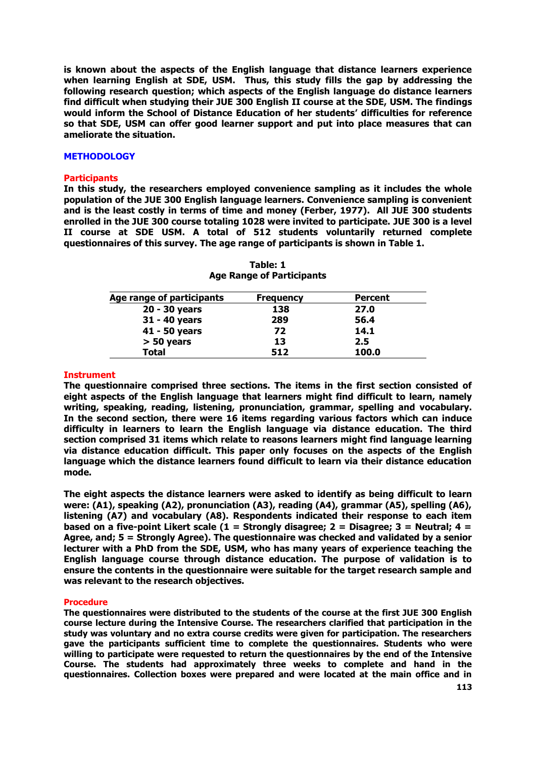**is known about the aspects of the English language that distance learners experience when learning English at SDE, USM. Thus, this study fills the gap by addressing the following research question; which aspects of the English language do distance learners find difficult when studying their JUE 300 English II course at the SDE, USM. The findings would inform the School of Distance Education of her students' difficulties for reference so that SDE, USM can offer good learner support and put into place measures that can ameliorate the situation.**

### **METHODOLOGY**

#### **Participants**

**In this study, the researchers employed convenience sampling as it includes the whole population of the JUE 300 English language learners. Convenience sampling is convenient and is the least costly in terms of time and money (Ferber, 1977). All JUE 300 students enrolled in the JUE 300 course totaling 1028 were invited to participate. JUE 300 is a level II course at SDE USM. A total of 512 students voluntarily returned complete questionnaires of this survey. The age range of participants is shown in Table 1.**

| Age range of participants | <b>Frequency</b> | <b>Percent</b> |
|---------------------------|------------------|----------------|
| 20 - 30 years             | 138              | 27.0           |
| 31 - 40 years             | 289              | 56.4           |
| 41 - 50 years             | 72               | 14.1           |
| $> 50$ years              | 13               | 2.5            |
| <b>Total</b>              | 512              | <b>100.0</b>   |

| Table: 1 |                                  |  |  |  |  |
|----------|----------------------------------|--|--|--|--|
|          | <b>Age Range of Participants</b> |  |  |  |  |

#### **Instrument**

**The questionnaire comprised three sections. The items in the first section consisted of eight aspects of the English language that learners might find difficult to learn, namely writing, speaking, reading, listening, pronunciation, grammar, spelling and vocabulary. In the second section, there were 16 items regarding various factors which can induce difficulty in learners to learn the English language via distance education. The third section comprised 31 items which relate to reasons learners might find language learning via distance education difficult. This paper only focuses on the aspects of the English language which the distance learners found difficult to learn via their distance education mode.**

**The eight aspects the distance learners were asked to identify as being difficult to learn were: (A1), speaking (A2), pronunciation (A3), reading (A4), grammar (A5), spelling (A6), listening (A7) and vocabulary (A8). Respondents indicated their response to each item based on a five-point Likert scale (1 = Strongly disagree; 2 = Disagree; 3 = Neutral; 4 = Agree, and; 5 = Strongly Agree). The questionnaire was checked and validated by a senior lecturer with a PhD from the SDE, USM, who has many years of experience teaching the English language course through distance education. The purpose of validation is to ensure the contents in the questionnaire were suitable for the target research sample and was relevant to the research objectives.** 

#### **Procedure**

**The questionnaires were distributed to the students of the course at the first JUE 300 English course lecture during the Intensive Course. The researchers clarified that participation in the study was voluntary and no extra course credits were given for participation. The researchers gave the participants sufficient time to complete the questionnaires. Students who were willing to participate were requested to return the questionnaires by the end of the Intensive Course. The students had approximately three weeks to complete and hand in the questionnaires. Collection boxes were prepared and were located at the main office and in**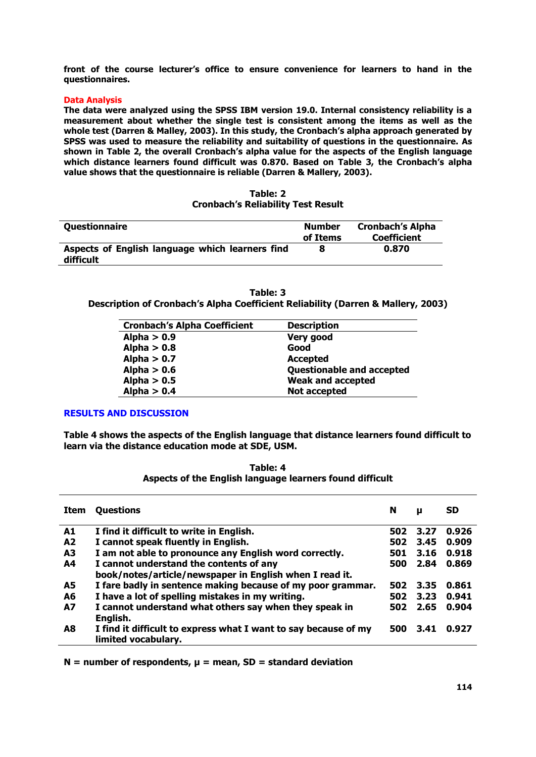**front of the course lecturer's office to ensure convenience for learners to hand in the questionnaires.**

## **Data Analysis**

**The data were analyzed using the SPSS IBM version 19.0. Internal consistency reliability is a measurement about whether the single test is consistent among the items as well as the whole test (Darren & Malley, 2003). In this study, the Cronbach's alpha approach generated by SPSS was used to measure the reliability and suitability of questions in the questionnaire. As shown in Table 2, the overall Cronbach's alpha value for the aspects of the English language which distance learners found difficult was 0.870. Based on Table 3, the Cronbach's alpha value shows that the questionnaire is reliable (Darren & Mallery, 2003).**

|                                           | Table: 2 |  |
|-------------------------------------------|----------|--|
| <b>Cronbach's Reliability Test Result</b> |          |  |

| Questionnaire                                                | <b>Number</b><br>of Items | <b>Cronbach's Alpha</b><br><b>Coefficient</b> |
|--------------------------------------------------------------|---------------------------|-----------------------------------------------|
| Aspects of English language which learners find<br>difficult |                           | 0.870                                         |

| Table: 3                                                                         |  |
|----------------------------------------------------------------------------------|--|
| Description of Cronbach's Alpha Coefficient Reliability (Darren & Mallery, 2003) |  |

| <b>Cronbach's Alpha Coefficient</b> | <b>Description</b>               |
|-------------------------------------|----------------------------------|
| Alpha $> 0.9$                       | Very good                        |
| Alpha $> 0.8$                       | Good                             |
| Alpha $> 0.7$                       | <b>Accepted</b>                  |
| Alpha $> 0.6$                       | <b>Questionable and accepted</b> |
| Alpha $> 0.5$                       | <b>Weak and accepted</b>         |
| Alpha $> 0.4$                       | <b>Not accepted</b>              |

## **RESULTS AND DISCUSSION**

**Table 4 shows the aspects of the English language that distance learners found difficult to learn via the distance education mode at SDE, USM.**

| Table: 4                                                 |  |
|----------------------------------------------------------|--|
| Aspects of the English language learners found difficult |  |

| Item           | <b>Questions</b>                                                | N   | μ    | <b>SD</b> |
|----------------|-----------------------------------------------------------------|-----|------|-----------|
| A1             | I find it difficult to write in English.                        | 502 | 3.27 | 0.926     |
| A <sub>2</sub> | I cannot speak fluently in English.                             | 502 | 3.45 | 0.909     |
| A <sub>3</sub> | I am not able to pronounce any English word correctly.          | 501 | 3.16 | 0.918     |
| A4             | I cannot understand the contents of any                         | 500 | 2.84 | 0.869     |
|                | book/notes/article/newspaper in English when I read it.         |     |      |           |
| <b>A5</b>      | I fare badly in sentence making because of my poor grammar.     | 502 | 3.35 | 0.861     |
| A6             | I have a lot of spelling mistakes in my writing.                | 502 | 3.23 | 0.941     |
| <b>A7</b>      | I cannot understand what others say when they speak in          | 502 | 2.65 | 0.904     |
|                | English.                                                        |     |      |           |
| A <sub>8</sub> | I find it difficult to express what I want to say because of my | 500 | 3.41 | 0.927     |
|                | limited vocabulary.                                             |     |      |           |

**N = number of respondents, μ = mean, SD = standard deviation**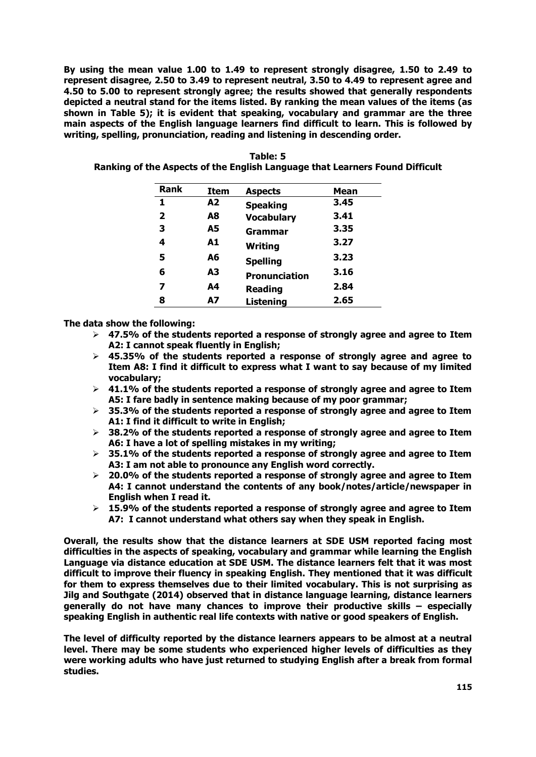**By using the mean value 1.00 to 1.49 to represent strongly disagree, 1.50 to 2.49 to represent disagree, 2.50 to 3.49 to represent neutral, 3.50 to 4.49 to represent agree and 4.50 to 5.00 to represent strongly agree; the results showed that generally respondents depicted a neutral stand for the items listed. By ranking the mean values of the items (as shown in Table 5); it is evident that speaking, vocabulary and grammar are the three main aspects of the English language learners find difficult to learn. This is followed by writing, spelling, pronunciation, reading and listening in descending order.**

| Rank         | Item | <b>Aspects</b>       | <b>Mean</b> |
|--------------|------|----------------------|-------------|
| 1            | A2   | <b>Speaking</b>      | 3.45        |
| $\mathbf{2}$ | A8   | <b>Vocabulary</b>    | 3.41        |
| 3            | A5   | Grammar              | 3.35        |
| 4            | A1   | Writing              | 3.27        |
| 5            | A6   | <b>Spelling</b>      | 3.23        |
| 6            | A3   | <b>Pronunciation</b> | 3.16        |
| 7            | А4   | <b>Reading</b>       | 2.84        |
| 8            | А7   | <b>Listening</b>     | 2.65        |

**Table: 5 Ranking of the Aspects of the English Language that Learners Found Difficult**

**The data show the following:**

- **47.5% of the students reported a response of strongly agree and agree to Item A2: I cannot speak fluently in English;**
- **45.35% of the students reported a response of strongly agree and agree to Item A8: I find it difficult to express what I want to say because of my limited vocabulary;**
- **41.1% of the students reported a response of strongly agree and agree to Item A5: I fare badly in sentence making because of my poor grammar;**
- **35.3% of the students reported a response of strongly agree and agree to Item A1: I find it difficult to write in English;**
- **38.2% of the students reported a response of strongly agree and agree to Item A6: I have a lot of spelling mistakes in my writing;**
- **35.1% of the students reported a response of strongly agree and agree to Item A3: I am not able to pronounce any English word correctly.**
- **20.0% of the students reported a response of strongly agree and agree to Item A4: I cannot understand the contents of any book/notes/article/newspaper in English when I read it.**
- **15.9% of the students reported a response of strongly agree and agree to Item A7: I cannot understand what others say when they speak in English.**

**Overall, the results show that the distance learners at SDE USM reported facing most difficulties in the aspects of speaking, vocabulary and grammar while learning the English Language via distance education at SDE USM. The distance learners felt that it was most difficult to improve their fluency in speaking English. They mentioned that it was difficult for them to express themselves due to their limited vocabulary. This is not surprising as Jilg and Southgate (2014) observed that in distance language learning, distance learners generally do not have many chances to improve their productive skills – especially speaking English in authentic real life contexts with native or good speakers of English.**

**The level of difficulty reported by the distance learners appears to be almost at a neutral level. There may be some students who experienced higher levels of difficulties as they were working adults who have just returned to studying English after a break from formal studies.**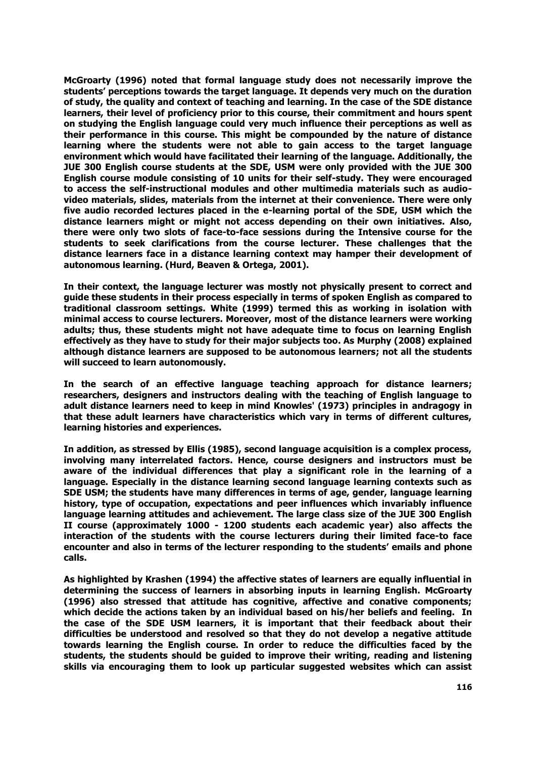**McGroarty (1996) noted that formal language study does not necessarily improve the students' perceptions towards the target language. It depends very much on the duration of study, the quality and context of teaching and learning. In the case of the SDE distance learners, their level of proficiency prior to this course, their commitment and hours spent on studying the English language could very much influence their perceptions as well as their performance in this course. This might be compounded by the nature of distance learning where the students were not able to gain access to the target language environment which would have facilitated their learning of the language. Additionally, the JUE 300 English course students at the SDE, USM were only provided with the JUE 300 English course module consisting of 10 units for their self-study. They were encouraged to access the self-instructional modules and other multimedia materials such as audiovideo materials, slides, materials from the internet at their convenience. There were only five audio recorded lectures placed in the e-learning portal of the SDE, USM which the distance learners might or might not access depending on their own initiatives. Also, there were only two slots of face-to-face sessions during the Intensive course for the students to seek clarifications from the course lecturer. These challenges that the distance learners face in a distance learning context may hamper their development of autonomous learning. (Hurd, Beaven & Ortega, 2001).**

**In their context, the language lecturer was mostly not physically present to correct and guide these students in their process especially in terms of spoken English as compared to traditional classroom settings. White (1999) termed this as working in isolation with minimal access to course lecturers. Moreover, most of the distance learners were working adults; thus, these students might not have adequate time to focus on learning English effectively as they have to study for their major subjects too. As Murphy (2008) explained although distance learners are supposed to be autonomous learners; not all the students will succeed to learn autonomously.** 

**In the search of an effective language teaching approach for distance learners; researchers, designers and instructors dealing with the teaching of English language to adult distance learners need to keep in mind Knowles' (1973) principles in andragogy in that these adult learners have characteristics which vary in terms of different cultures, learning histories and experiences.**

**In addition, as stressed by Ellis (1985), second language acquisition is a complex process, involving many interrelated factors. Hence, course designers and instructors must be aware of the individual differences that play a significant role in the learning of a language. Especially in the distance learning second language learning contexts such as SDE USM; the students have many differences in terms of age, gender, language learning history, type of occupation, expectations and peer influences which invariably influence language learning attitudes and achievement. The large class size of the JUE 300 English II course (approximately 1000 - 1200 students each academic year) also affects the interaction of the students with the course lecturers during their limited face-to face encounter and also in terms of the lecturer responding to the students' emails and phone calls.**

**As highlighted by Krashen (1994) the affective states of learners are equally influential in determining the success of learners in absorbing inputs in learning English. McGroarty (1996) also stressed that attitude has cognitive, affective and conative components; which decide the actions taken by an individual based on his/her beliefs and feeling. In the case of the SDE USM learners, it is important that their feedback about their difficulties be understood and resolved so that they do not develop a negative attitude towards learning the English course. In order to reduce the difficulties faced by the students, the students should be guided to improve their writing, reading and listening skills via encouraging them to look up particular suggested websites which can assist**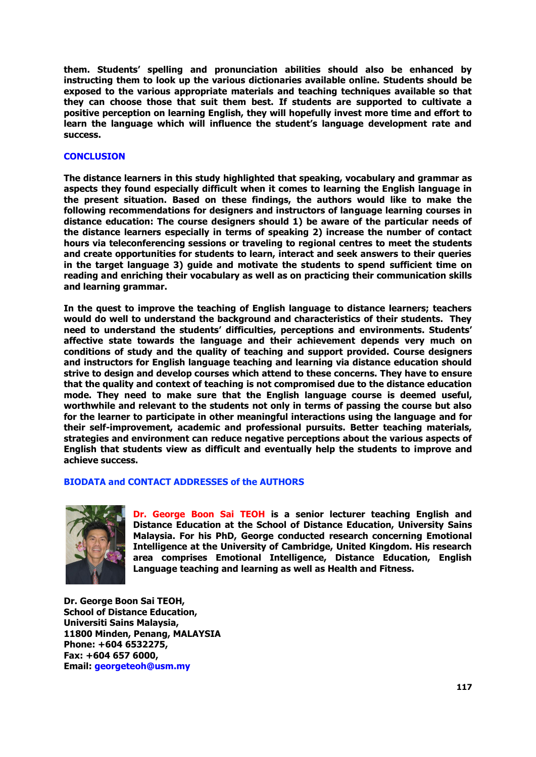**them. Students' spelling and pronunciation abilities should also be enhanced by instructing them to look up the various dictionaries available online. Students should be exposed to the various appropriate materials and teaching techniques available so that they can choose those that suit them best. If students are supported to cultivate a positive perception on learning English, they will hopefully invest more time and effort to learn the language which will influence the student's language development rate and success.**

## **CONCLUSION**

**The distance learners in this study highlighted that speaking, vocabulary and grammar as aspects they found especially difficult when it comes to learning the English language in the present situation. Based on these findings, the authors would like to make the following recommendations for designers and instructors of language learning courses in distance education: The course designers should 1) be aware of the particular needs of the distance learners especially in terms of speaking 2) increase the number of contact hours via teleconferencing sessions or traveling to regional centres to meet the students and create opportunities for students to learn, interact and seek answers to their queries in the target language 3) guide and motivate the students to spend sufficient time on reading and enriching their vocabulary as well as on practicing their communication skills and learning grammar.**

**In the quest to improve the teaching of English language to distance learners; teachers would do well to understand the background and characteristics of their students. They need to understand the students' difficulties, perceptions and environments. Students' affective state towards the language and their achievement depends very much on conditions of study and the quality of teaching and support provided. Course designers and instructors for English language teaching and learning via distance education should strive to design and develop courses which attend to these concerns. They have to ensure that the quality and context of teaching is not compromised due to the distance education mode. They need to make sure that the English language course is deemed useful, worthwhile and relevant to the students not only in terms of passing the course but also for the learner to participate in other meaningful interactions using the language and for their self-improvement, academic and professional pursuits. Better teaching materials, strategies and environment can reduce negative perceptions about the various aspects of English that students view as difficult and eventually help the students to improve and achieve success.**

## **BIODATA and CONTACT ADDRESSES of the AUTHORS**



**Dr. George Boon Sai TEOH is a senior lecturer teaching English and Distance Education at the School of Distance Education, University Sains Malaysia. For his PhD, George conducted research concerning Emotional Intelligence at the University of Cambridge, United Kingdom. His research area comprises Emotional Intelligence, Distance Education, English Language teaching and learning as well as Health and Fitness.**

**Dr. George Boon Sai TEOH, School of Distance Education, Universiti Sains Malaysia, 11800 Minden, Penang, MALAYSIA Phone: +604 6532275, Fax: +604 657 6000, Email: [georgeteoh@usm.my](mailto:georgeteoh@usm.my)**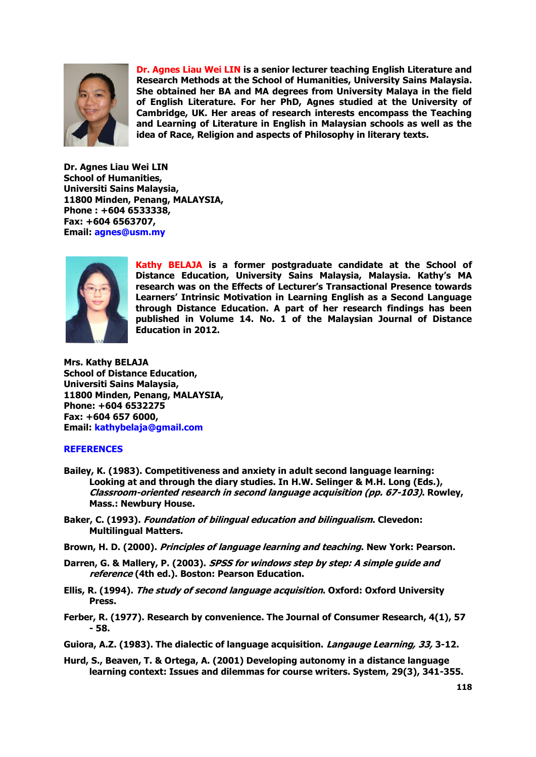

**Dr. Agnes Liau Wei LIN is a senior lecturer teaching English Literature and Research Methods at the School of Humanities, University Sains Malaysia. She obtained her BA and MA degrees from University Malaya in the field of English Literature. For her PhD, Agnes studied at the University of Cambridge, UK. Her areas of research interests encompass the Teaching and Learning of Literature in English in Malaysian schools as well as the idea of Race, Religion and aspects of Philosophy in literary texts.**

**Dr. Agnes Liau Wei LIN School of Humanities, Universiti Sains Malaysia, 11800 Minden, Penang, MALAYSIA, Phone : +604 6533338, Fax: +604 6563707, Email: [agnes@usm.my](mailto:agnes@usm.my)**



**Kathy BELAJA is a former postgraduate candidate at the School of Distance Education, University Sains Malaysia, Malaysia. Kathy's MA research was on the Effects of Lecturer's Transactional Presence towards Learners' Intrinsic Motivation in Learning English as a Second Language through Distance Education. A part of her research findings has been published in Volume 14. No. 1 of the Malaysian Journal of Distance Education in 2012.** 

**Mrs. Kathy BELAJA School of Distance Education, Universiti Sains Malaysia, 11800 Minden, Penang, MALAYSIA, Phone: +604 6532275 Fax: +604 657 6000, Email: [kathybelaja@gmail.com](mailto:kathybelaja@gmail.com)**

# **REFERENCES**

- **Bailey, K. (1983). Competitiveness and anxiety in adult second language learning: Looking at and through the diary studies. In H.W. Selinger & M.H. Long (Eds.), Classroom-oriented research in second language acquisition (pp. 67-103). Rowley, Mass.: Newbury House.**
- **Baker, C. (1993). Foundation of bilingual education and bilingualism. Clevedon: Multilingual Matters.**
- **Brown, H. D. (2000). Principles of language learning and teaching. New York: Pearson.**
- **Darren, G. & Mallery, P. (2003). SPSS for windows step by step: A simple guide and reference (4th ed.). Boston: Pearson Education.**
- **Ellis, R. (1994). The study of second language acquisition. Oxford: Oxford University Press.**
- **Ferber, R. (1977). Research by convenience. The Journal of Consumer Research, 4(1), 57 - 58.**
- **Guiora, A.Z. (1983). The dialectic of language acquisition. Langauge Learning, 33, 3-12.**
- **Hurd, S., Beaven, T. & Ortega, A. (2001) Developing autonomy in a distance language learning context: Issues and dilemmas for course writers. System, 29(3), 341-355.**